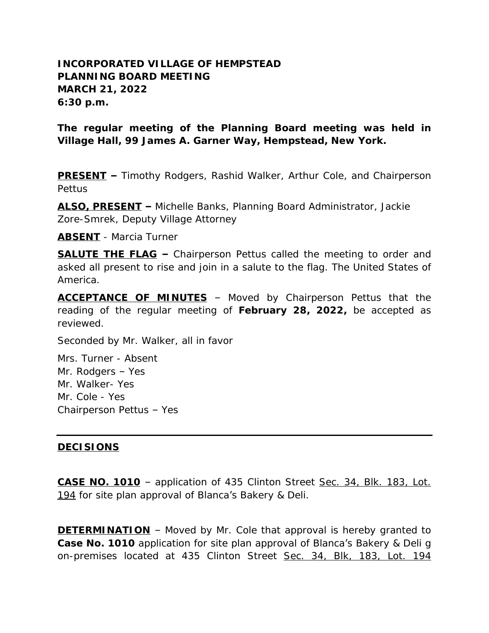## **INCORPORATED VILLAGE OF HEMPSTEAD PLANNING BOARD MEETING MARCH 21, 2022 6:30 p.m.**

**The regular meeting of the Planning Board meeting was held in Village Hall, 99 James A. Garner Way, Hempstead, New York.**

**PRESENT –** Timothy Rodgers, Rashid Walker, Arthur Cole, and Chairperson Pettus

**ALSO, PRESENT –** Michelle Banks, Planning Board Administrator, Jackie Zore-Smrek, Deputy Village Attorney

**ABSENT** - Marcia Turner

**SALUTE THE FLAG –** Chairperson Pettus called the meeting to order and asked all present to rise and join in a salute to the flag. The United States of America.

**ACCEPTANCE OF MINUTES** – Moved by Chairperson Pettus that the reading of the regular meeting of **February 28, 2022,** be accepted as reviewed.

Seconded by Mr. Walker, all in favor

Mrs. Turner - Absent Mr. Rodgers – Yes Mr. Walker- Yes Mr. Cole - Yes Chairperson Pettus – Yes

## **DECISIONS**

**CASE NO. 1010** – application of 435 Clinton Street Sec. 34, Blk. 183, Lot. 194 for site plan approval of Blanca's Bakery & Deli.

**DETERMINATION** - Moved by Mr. Cole that approval is hereby granted to **Case No. 1010** application for site plan approval of Blanca's Bakery & Deli g on-premises located at 435 Clinton Street Sec. 34, Blk, 183, Lot. 194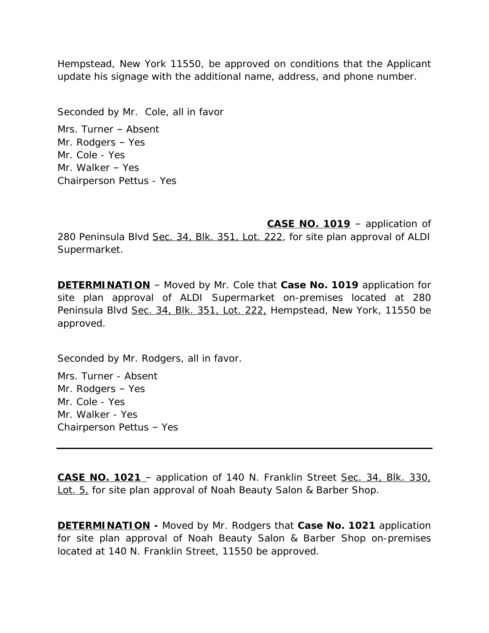Hempstead, New York 11550, be approved on conditions that the Applicant update his signage with the additional name, address, and phone number.

Seconded by Mr. Cole, all in favor

Mrs. Turner – Absent Mr. Rodgers – Yes Mr. Cole - Yes Mr. Walker – Yes Chairperson Pettus - Yes

**CASE NO. 1019** – application of

280 Peninsula Blvd Sec. 34, Blk. 351, Lot. 222, for site plan approval of ALDI Supermarket.

**DETERMINATION** – Moved by Mr. Cole that **Case No. 1019** application for site plan approval of ALDI Supermarket on-premises located at 280 Peninsula Blvd Sec. 34, Blk. 351, Lot. 222, Hempstead, New York, 11550 be approved.

Seconded by Mr. Rodgers, all in favor.

Mrs. Turner - Absent Mr. Rodgers – Yes Mr. Cole - Yes Mr. Walker - Yes Chairperson Pettus – Yes

**CASE NO. 1021** – application of 140 N. Franklin Street Sec. 34, Blk. 330, Lot. 5, for site plan approval of Noah Beauty Salon & Barber Shop.

**DETERMINATION -** Moved by Mr. Rodgers that **Case No. 1021** application for site plan approval of Noah Beauty Salon & Barber Shop on-premises located at 140 N. Franklin Street, 11550 be approved.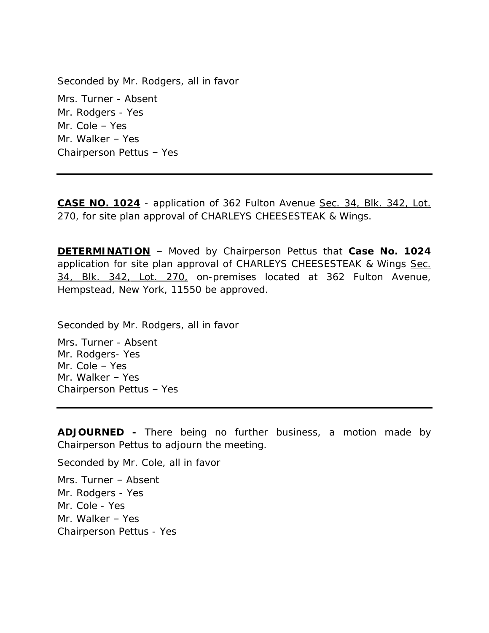Seconded by Mr. Rodgers, all in favor Mrs. Turner - Absent Mr. Rodgers - Yes Mr. Cole – Yes Mr. Walker – Yes Chairperson Pettus – Yes

**CASE NO. 1024** - application of 362 Fulton Avenue Sec. 34, Blk. 342, Lot. 270, for site plan approval of CHARLEYS CHEESESTEAK & Wings.

**DETERMINATION** – Moved by Chairperson Pettus that **Case No. 1024** application for site plan approval of CHARLEYS CHEESESTEAK & Wings Sec. 34, Blk. 342, Lot. 270, on-premises located at 362 Fulton Avenue, Hempstead, New York, 11550 be approved.

Seconded by Mr. Rodgers, all in favor

Mrs. Turner - Absent Mr. Rodgers- Yes Mr. Cole – Yes Mr. Walker – Yes Chairperson Pettus – Yes

**ADJOURNED -** There being no further business, a motion made by Chairperson Pettus to adjourn the meeting.

Seconded by Mr. Cole, all in favor

Mrs. Turner – Absent Mr. Rodgers - Yes Mr. Cole - Yes Mr. Walker – Yes Chairperson Pettus - Yes